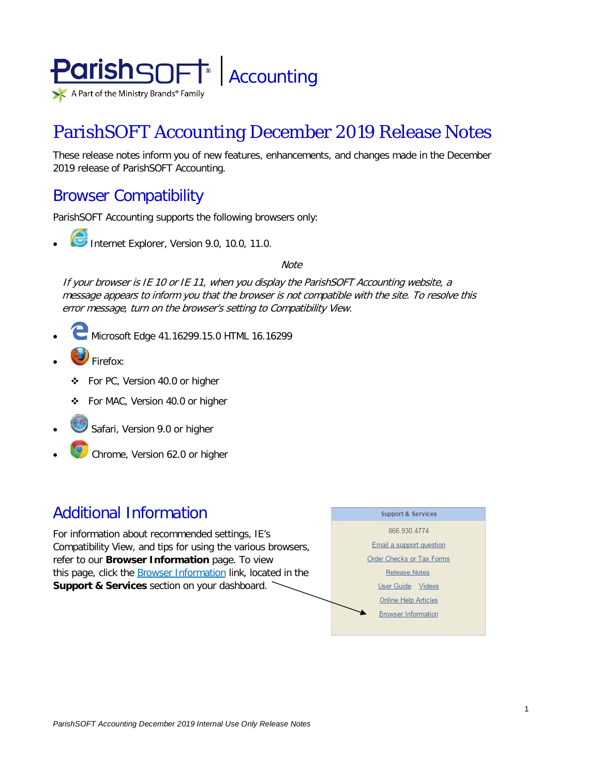

# ParishSOFT Accounting December 2019 Release Notes

These release notes inform you of new features, enhancements, and changes made in the December 2019 release of ParishSOFT Accounting.

## Browser Compatibility

ParishSOFT Accounting supports the following browsers only:

- - **Internet Explorer, Version 9.0, 10.0, 11.0.**

**Note** 

If your browser is IE 10 or IE 11, when you display the ParishSOFT Accounting website, a message appears to inform you that the browser is not compatible with the site. To resolve this error message, turn on the browser's setting to Compatibility View.

- Microsoft Edge 41.16299.15.0 HTML 16.16299
- Firefox:
	- For PC, Version 40.0 or higher
	- For MAC, Version 40.0 or higher
- Safari, Version 9.0 or higher
- Chrome, Version 62.0 or higher

## Additional Information

For information about recommended settings, IE's Compatibility View, and tips for using the various browsers, refer to our **Browser Information** page. To view this page, click the Browser Information link, located in the **Support & Services** section on your dashboard.

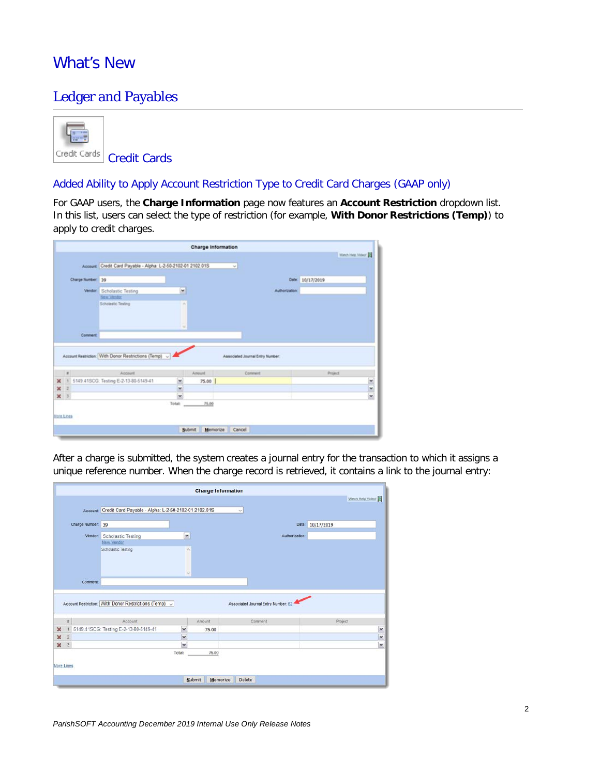## What's New

### Ledger and Payables



Added Ability to Apply Account Restriction Type to Credit Card Charges (GAAP only)

For GAAP users, the **Charge Information** page now features an **Account Restriction** dropdown list. In this list, users can select the type of restriction (for example, **With Donor Restrictions (Temp)**) to apply to credit charges.

|                           |                   |                                                              |                      | Charge Information |                                  |               |                   |               |
|---------------------------|-------------------|--------------------------------------------------------------|----------------------|--------------------|----------------------------------|---------------|-------------------|---------------|
|                           |                   |                                                              |                      |                    |                                  |               | Wiesh Help Videof |               |
|                           |                   | Account Credit Card Payable - Alpha: L-2-50-2102-01 2102 01S |                      |                    | $\vee$                           |               |                   |               |
|                           | Charge Number: 39 |                                                              |                      |                    |                                  |               | Date: 10/17/2019  |               |
|                           |                   |                                                              |                      |                    |                                  |               |                   |               |
|                           |                   | <b>Vendor:</b> Scholastic Testing<br><b>New Vendor</b>       | ×                    |                    |                                  | Authorization |                   |               |
|                           |                   | <b>Scholastic Testing</b>                                    | $\sim$               |                    |                                  |               |                   |               |
|                           |                   |                                                              |                      |                    |                                  |               |                   |               |
|                           |                   |                                                              |                      |                    |                                  |               |                   |               |
|                           |                   |                                                              | ×                    |                    |                                  |               |                   |               |
|                           | Comment           |                                                              |                      |                    |                                  |               |                   |               |
|                           |                   |                                                              |                      |                    |                                  |               |                   |               |
|                           |                   |                                                              |                      |                    |                                  |               |                   |               |
|                           |                   |                                                              |                      |                    |                                  |               |                   |               |
|                           |                   |                                                              |                      |                    |                                  |               |                   |               |
|                           |                   | Account Restriction: With Donor Restrictions (Temp) ~ 4      |                      |                    | Associated Journal Entry Number: |               |                   |               |
|                           | $\mathbf{r}$      | Account                                                      |                      | Amount             | Comment                          |               | Project           |               |
|                           |                   | X 1 5149.41SCG: Testing E-2-13-80-5149-41                    |                      | 75.00              |                                  |               |                   |               |
|                           |                   |                                                              | ۷<br>۷               |                    |                                  |               |                   |               |
|                           |                   |                                                              | $\ddot{\phantom{0}}$ |                    |                                  |               |                   |               |
| $x = z$<br>x <sub>3</sub> |                   |                                                              | Total:               | 75.00              |                                  |               |                   |               |
|                           |                   |                                                              |                      |                    |                                  |               |                   | $\frac{1}{2}$ |
|                           | More Lines        |                                                              |                      |                    |                                  |               |                   |               |
|                           |                   |                                                              |                      |                    |                                  |               |                   |               |

After a charge is submitted, the system creates a journal entry for the transaction to which it assigns a unique reference number. When the charge record is retrieved, it contains a link to the journal entry:

|                                                           |                         |                   |                                                              |             | <b>Charge Information</b> |                                     |                |                  |                   |
|-----------------------------------------------------------|-------------------------|-------------------|--------------------------------------------------------------|-------------|---------------------------|-------------------------------------|----------------|------------------|-------------------|
|                                                           |                         |                   |                                                              |             |                           |                                     |                |                  | Watch Help Video! |
|                                                           |                         |                   | Account Credit Card Payable - Alpha: L-2-50-2102-01 2102.01S |             |                           | $\checkmark$                        |                |                  |                   |
|                                                           |                         |                   |                                                              |             |                           |                                     |                |                  |                   |
|                                                           |                         | Charge Number: 39 |                                                              |             |                           |                                     |                | Date: 10/17/2019 |                   |
|                                                           |                         | Vendor:           | <b>Scholastic Testing</b>                                    | v           |                           |                                     | Authorization: |                  |                   |
|                                                           |                         |                   | New Vendor                                                   |             |                           |                                     |                |                  |                   |
|                                                           |                         |                   | Scholastic Testing                                           | ×           |                           |                                     |                |                  |                   |
|                                                           |                         |                   |                                                              |             |                           |                                     |                |                  |                   |
|                                                           |                         |                   |                                                              |             |                           |                                     |                |                  |                   |
|                                                           |                         |                   |                                                              | $\omega$    |                           |                                     |                |                  |                   |
|                                                           |                         | Comment           |                                                              |             |                           |                                     |                |                  |                   |
|                                                           |                         |                   |                                                              |             |                           |                                     |                |                  |                   |
|                                                           |                         |                   |                                                              |             |                           |                                     |                |                  |                   |
|                                                           |                         |                   |                                                              |             |                           |                                     |                |                  |                   |
|                                                           |                         |                   | Account Restriction: With Donor Restrictions (Temp) ~        |             |                           | Associated Journal Entry Number: 62 |                |                  |                   |
|                                                           |                         |                   |                                                              |             |                           |                                     |                |                  |                   |
|                                                           | #                       |                   | Account                                                      |             | Amount                    | Comment                             |                |                  | Project           |
|                                                           |                         |                   | 1 5149.41SCG: Testing E-2-13-80-5149-41                      | $\check{ }$ | 75.00                     |                                     |                |                  |                   |
|                                                           | $\overline{2}$          |                   |                                                              | $\check{ }$ |                           |                                     |                |                  |                   |
|                                                           | $\overline{\mathbf{3}}$ |                   |                                                              | $\check{}$  |                           |                                     |                |                  |                   |
| $\boldsymbol{\varkappa}$<br>×<br>$\boldsymbol{\varkappa}$ |                         |                   |                                                              | Total:      | 75.00                     |                                     |                |                  |                   |
|                                                           |                         |                   |                                                              |             |                           |                                     |                |                  |                   |
|                                                           | More Lines              |                   |                                                              |             |                           |                                     |                |                  |                   |
|                                                           |                         |                   |                                                              |             | Submit<br>Memorize        | Delete                              |                |                  |                   |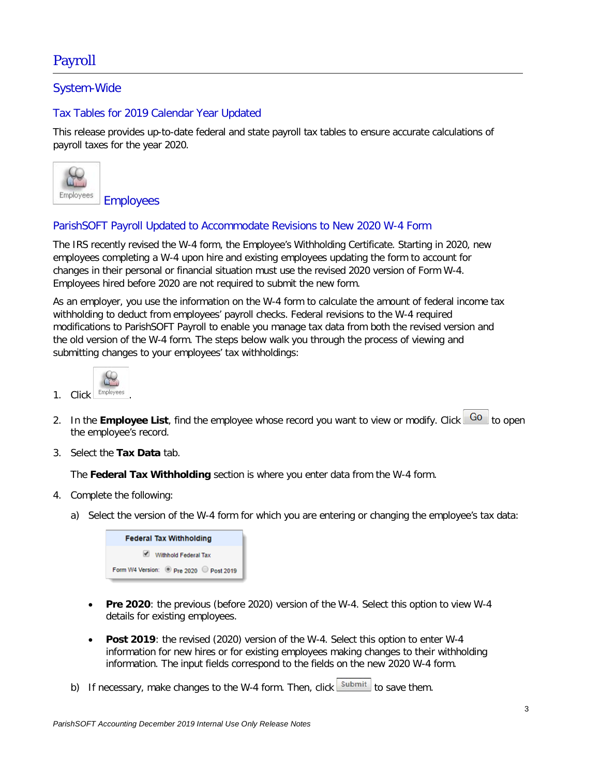## Payroll

### System-Wide

### Tax Tables for 2019 Calendar Year Updated

This release provides up-to-date federal and state payroll tax tables to ensure accurate calculations of payroll taxes for the year 2020.



### ParishSOFT Payroll Updated to Accommodate Revisions to New 2020 W-4 Form

The IRS recently revised the W-4 form, the Employee's Withholding Certificate. Starting in 2020, new employees completing a W-4 upon hire and existing employees updating the form to account for changes in their personal or financial situation must use the revised 2020 version of Form W-4. Employees hired before 2020 are not required to submit the new form.

As an employer, you use the information on the W-4 form to calculate the amount of federal income tax withholding to deduct from employees' payroll checks. Federal revisions to the W-4 required modifications to ParishSOFT Payroll to enable you manage tax data from both the revised version and the old version of the W-4 form. The steps below walk you through the process of viewing and submitting changes to your employees' tax withholdings:

| <b>Click</b> | Employees |  |
|--------------|-----------|--|

- 2. In the **Employee List**, find the employee whose record you want to view or modify. Click  $\boxed{Go}$  to open the employee's record.
- 3. Select the **Tax Data** tab.

The **Federal Tax Withholding** section is where you enter data from the W-4 form.

- 4. Complete the following:
	- a) Select the version of the W-4 form for which you are entering or changing the employee's tax data:



- **Pre 2020**: the previous (before 2020) version of the W-4. Select this option to view W-4 details for existing employees.
- **Post 2019**: the revised (2020) version of the W-4. Select this option to enter W-4 information for new hires or for existing employees making changes to their withholding information. The input fields correspond to the fields on the new 2020 W-4 form.
- b) If necessary, make changes to the W-4 form. Then, click  $\frac{\text{Submit}}{\text{submit}}$  to save them.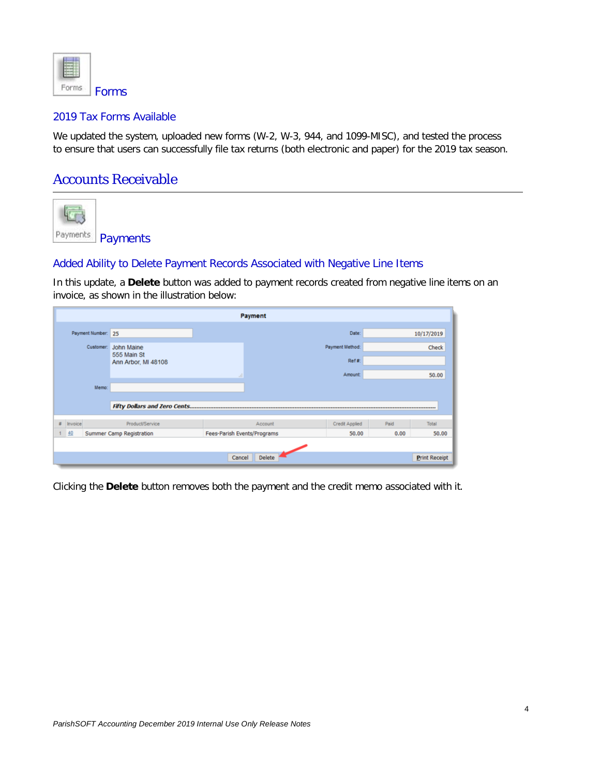

#### 2019 Tax Forms Available

We updated the system, uploaded new forms (W-2, W-3, 944, and 1099-MISC), and tested the process to ensure that users can successfully file tax returns (both electronic and paper) for the 2019 tax season.

### Accounts Receivable



### Added Ability to Delete Payment Records Associated with Negative Line Items

In this update, a **Delete** button was added to payment records created from negative line items on an invoice, as shown in the illustration below:

|                    |                                    | Payment                            |                           |      |                      |
|--------------------|------------------------------------|------------------------------------|---------------------------|------|----------------------|
| Payment Number: 25 |                                    |                                    | Date:                     |      | 10/17/2019           |
| Customer:          | John Maine                         |                                    | Payment Method:           |      | Check                |
|                    | 555 Main St<br>Ann Arbor, MI 48108 |                                    | Ref #:                    |      |                      |
|                    |                                    | a.                                 | Amount:                   |      | 50.00                |
| Memo:              |                                    |                                    |                           |      |                      |
|                    | Fifty Dollars and Zero Cents       |                                    |                           |      |                      |
| Invoice<br>s.      | Product/Service                    |                                    | Credit Applied<br>Account | Paid | Total                |
| 40                 | Summer Camp Registration           | <b>Fees-Parish Events/Programs</b> | 50.00                     | 0.00 | 50.00                |
|                    |                                    |                                    |                           |      |                      |
|                    |                                    | Cancel                             | <b>Delete</b>             |      | <b>Print Receipt</b> |

Clicking the **Delete** button removes both the payment and the credit memo associated with it.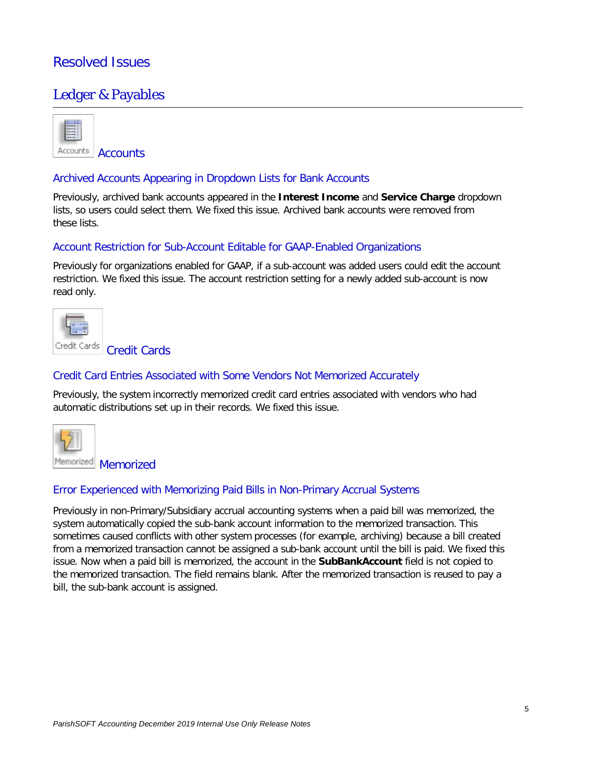### Resolved Issues

### Ledger & Payables



Accounts | Accounts

#### Archived Accounts Appearing in Dropdown Lists for Bank Accounts

Previously, archived bank accounts appeared in the **Interest Income** and **Service Charge** dropdown lists, so users could select them. We fixed this issue. Archived bank accounts were removed from these lists.

### Account Restriction for Sub-Account Editable for GAAP-Enabled Organizations

Previously for organizations enabled for GAAP, if a sub-account was added users could edit the account restriction. We fixed this issue. The account restriction setting for a newly added sub-account is now read only.



#### Credit Card Entries Associated with Some Vendors Not Memorized Accurately

Previously, the system incorrectly memorized credit card entries associated with vendors who had automatic distributions set up in their records. We fixed this issue.



#### Error Experienced with Memorizing Paid Bills in Non-Primary Accrual Systems

Previously in non-Primary/Subsidiary accrual accounting systems when a paid bill was memorized, the system automatically copied the sub-bank account information to the memorized transaction. This sometimes caused conflicts with other system processes (for example, archiving) because a bill created from a memorized transaction cannot be assigned a sub-bank account until the bill is paid. We fixed this issue. Now when a paid bill is memorized, the account in the **SubBankAccount** field is not copied to the memorized transaction. The field remains blank. After the memorized transaction is reused to pay a bill, the sub-bank account is assigned.